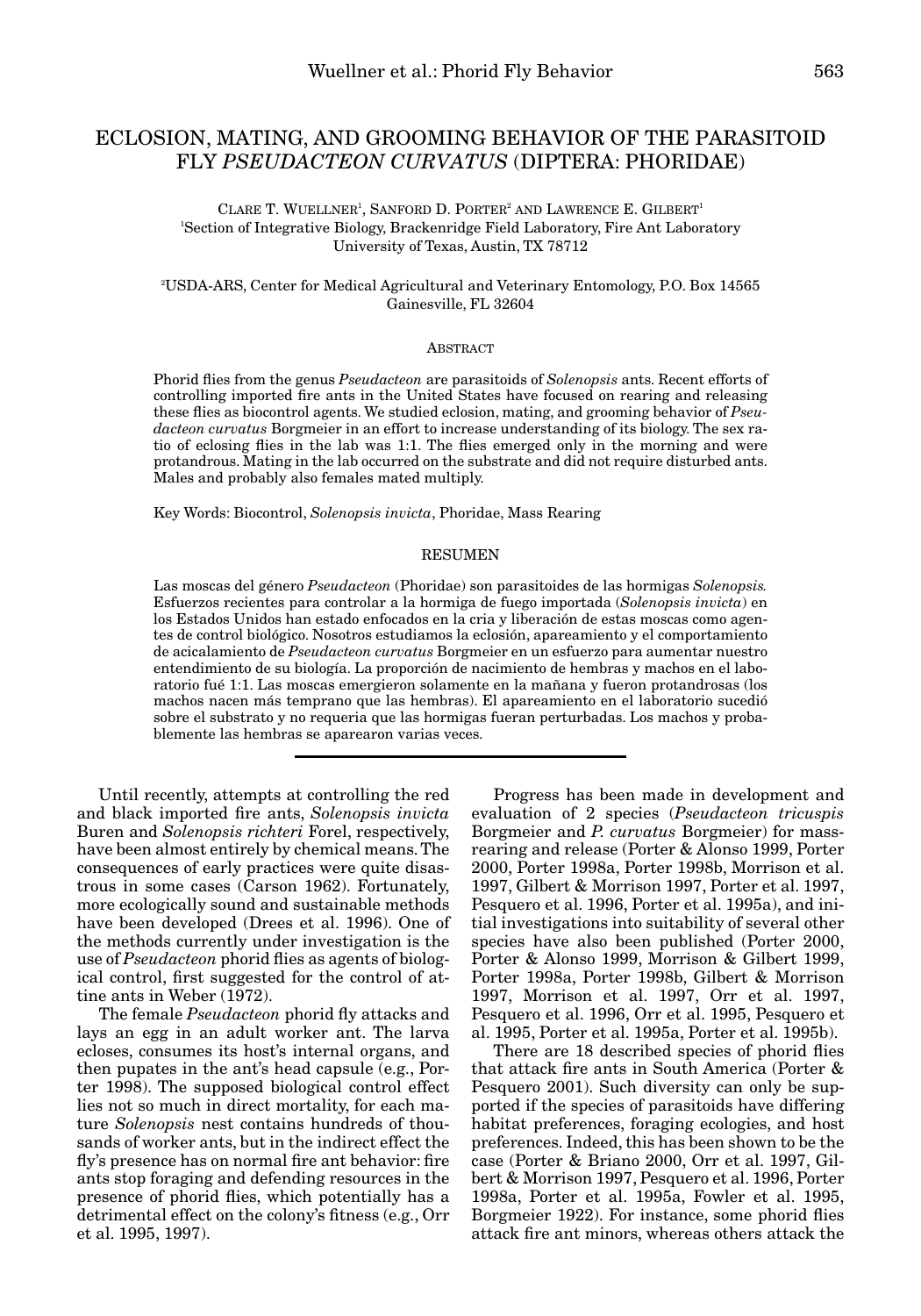# ECLOSION, MATING, AND GROOMING BEHAVIOR OF THE PARASITOID FLY *PSEUDACTEON CURVATUS* (DIPTERA: PHORIDAE)

# CLARE T. WUELLNER<sup>1</sup>, SANFORD D. PORTER<sup>2</sup> AND LAWRENCE E. GILBERT<sup>1</sup> 1 Section of Integrative Biology, Brackenridge Field Laboratory, Fire Ant Laboratory University of Texas, Austin, TX 78712

## 2 USDA-ARS, Center for Medical Agricultural and Veterinary Entomology, P.O. Box 14565 Gainesville, FL 32604

## ABSTRACT

Phorid flies from the genus *Pseudacteon* are parasitoids of *Solenopsis* ants. Recent efforts of controlling imported fire ants in the United States have focused on rearing and releasing these flies as biocontrol agents. We studied eclosion, mating, and grooming behavior of *Pseudacteon curvatus* Borgmeier in an effort to increase understanding of its biology. The sex ratio of eclosing flies in the lab was 1:1. The flies emerged only in the morning and were protandrous. Mating in the lab occurred on the substrate and did not require disturbed ants. Males and probably also females mated multiply.

Key Words: Biocontrol, *Solenopsis invicta*, Phoridae, Mass Rearing

## RESUMEN

Las moscas del género *Pseudacteon* (Phoridae) son parasitoides de las hormigas *Solenopsis.* Esfuerzos recientes para controlar a la hormiga de fuego importada (*Solenopsis invicta*) en los Estados Unidos han estado enfocados en la cria y liberación de estas moscas como agentes de control biológico. Nosotros estudiamos la eclosión, apareamiento y el comportamiento de acicalamiento de *Pseudacteon curvatus* Borgmeier en un esfuerzo para aumentar nuestro entendimiento de su biología. La proporción de nacimiento de hembras y machos en el laboratorio fué 1:1. Las moscas emergieron solamente en la mañana y fueron protandrosas (los machos nacen más temprano que las hembras). El apareamiento en el laboratorio sucedió sobre el substrato y no requeria que las hormigas fueran perturbadas. Los machos y probablemente las hembras se aparearon varias veces.

Until recently, attempts at controlling the red and black imported fire ants, *Solenopsis invicta* Buren and *Solenopsis richteri* Forel, respectively, have been almost entirely by chemical means. The consequences of early practices were quite disastrous in some cases (Carson 1962). Fortunately, more ecologically sound and sustainable methods have been developed (Drees et al. 1996). One of the methods currently under investigation is the use of *Pseudacteon* phorid flies as agents of biological control, first suggested for the control of attine ants in Weber (1972).

The female *Pseudacteon* phorid fly attacks and lays an egg in an adult worker ant. The larva ecloses, consumes its host's internal organs, and then pupates in the ant's head capsule (e.g., Porter 1998). The supposed biological control effect lies not so much in direct mortality, for each mature *Solenopsis* nest contains hundreds of thousands of worker ants, but in the indirect effect the fly's presence has on normal fire ant behavior: fire ants stop foraging and defending resources in the presence of phorid flies, which potentially has a detrimental effect on the colony's fitness (e.g., Orr et al. 1995, 1997).

Progress has been made in development and evaluation of 2 species (*Pseudacteon tricuspis* Borgmeier and *P. curvatus* Borgmeier) for massrearing and release (Porter & Alonso 1999, Porter 2000, Porter 1998a, Porter 1998b, Morrison et al. 1997, Gilbert & Morrison 1997, Porter et al. 1997, Pesquero et al. 1996, Porter et al. 1995a), and initial investigations into suitability of several other species have also been published (Porter 2000, Porter & Alonso 1999, Morrison & Gilbert 1999, Porter 1998a, Porter 1998b, Gilbert & Morrison 1997, Morrison et al. 1997, Orr et al. 1997, Pesquero et al. 1996, Orr et al. 1995, Pesquero et al. 1995, Porter et al. 1995a, Porter et al. 1995b).

There are 18 described species of phorid flies that attack fire ants in South America (Porter & Pesquero 2001). Such diversity can only be supported if the species of parasitoids have differing habitat preferences, foraging ecologies, and host preferences. Indeed, this has been shown to be the case (Porter & Briano 2000, Orr et al. 1997, Gilbert & Morrison 1997, Pesquero et al. 1996, Porter 1998a, Porter et al. 1995a, Fowler et al. 1995, Borgmeier 1922). For instance, some phorid flies attack fire ant minors, whereas others attack the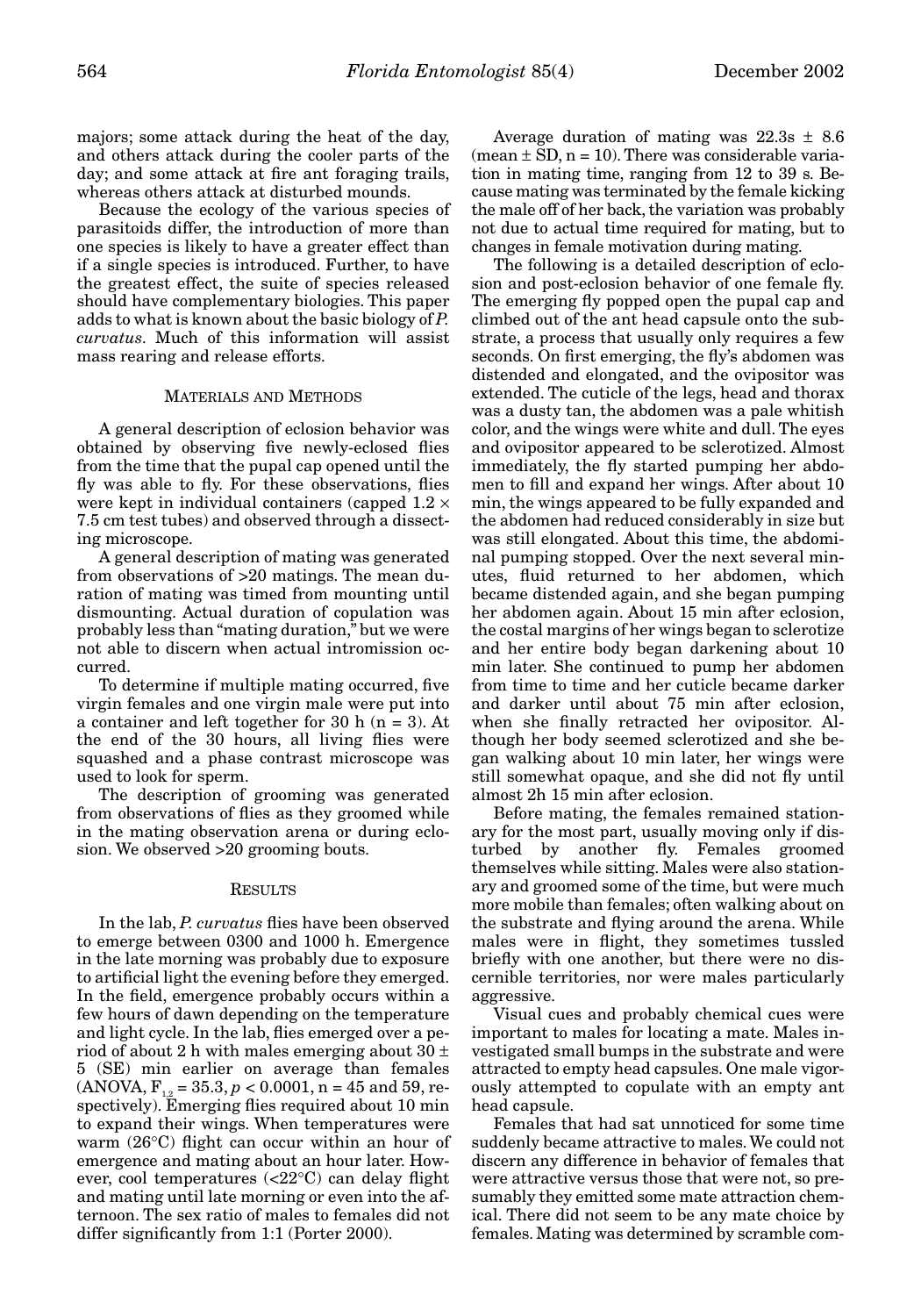majors; some attack during the heat of the day, and others attack during the cooler parts of the day; and some attack at fire ant foraging trails, whereas others attack at disturbed mounds.

Because the ecology of the various species of parasitoids differ, the introduction of more than one species is likely to have a greater effect than if a single species is introduced. Further, to have the greatest effect, the suite of species released should have complementary biologies. This paper adds to what is known about the basic biology of *P. curvatus*. Much of this information will assist mass rearing and release efforts.

#### MATERIALS AND METHODS

A general description of eclosion behavior was obtained by observing five newly-eclosed flies from the time that the pupal cap opened until the fly was able to fly. For these observations, flies were kept in individual containers (capped  $1.2 \times$ 7.5 cm test tubes) and observed through a dissecting microscope.

A general description of mating was generated from observations of >20 matings. The mean duration of mating was timed from mounting until dismounting. Actual duration of copulation was probably less than "mating duration," but we were not able to discern when actual intromission occurred.

To determine if multiple mating occurred, five virgin females and one virgin male were put into a container and left together for 30 h (n = 3). At the end of the 30 hours, all living flies were squashed and a phase contrast microscope was used to look for sperm.

The description of grooming was generated from observations of flies as they groomed while in the mating observation arena or during eclosion. We observed >20 grooming bouts.

#### **RESULTS**

In the lab, *P. curvatus* flies have been observed to emerge between 0300 and 1000 h. Emergence in the late morning was probably due to exposure to artificial light the evening before they emerged. In the field, emergence probably occurs within a few hours of dawn depending on the temperature and light cycle. In the lab, flies emerged over a period of about 2 h with males emerging about  $30 \pm$ 5 (SE) min earlier on average than females  $(ANOVA, F_{12} = 35.3, p < 0.0001, n = 45 \text{ and } 59, r = 10^{-4} \text{ m}$ spectively). Emerging flies required about 10 min to expand their wings. When temperatures were warm (26°C) flight can occur within an hour of emergence and mating about an hour later. However, cool temperatures (<22°C) can delay flight and mating until late morning or even into the afternoon. The sex ratio of males to females did not differ significantly from 1:1 (Porter 2000).

Average duration of mating was  $22.3s \pm 8.6$  $(\text{mean} \pm \text{SD}, \text{n} = 10)$ . There was considerable variation in mating time, ranging from 12 to 39 s. Because mating was terminated by the female kicking the male off of her back, the variation was probably not due to actual time required for mating, but to changes in female motivation during mating.

The following is a detailed description of eclosion and post-eclosion behavior of one female fly. The emerging fly popped open the pupal cap and climbed out of the ant head capsule onto the substrate, a process that usually only requires a few seconds. On first emerging, the fly's abdomen was distended and elongated, and the ovipositor was extended. The cuticle of the legs, head and thorax was a dusty tan, the abdomen was a pale whitish color, and the wings were white and dull. The eyes and ovipositor appeared to be sclerotized. Almost immediately, the fly started pumping her abdomen to fill and expand her wings. After about 10 min, the wings appeared to be fully expanded and the abdomen had reduced considerably in size but was still elongated. About this time, the abdominal pumping stopped. Over the next several minutes, fluid returned to her abdomen, which became distended again, and she began pumping her abdomen again. About 15 min after eclosion, the costal margins of her wings began to sclerotize and her entire body began darkening about 10 min later. She continued to pump her abdomen from time to time and her cuticle became darker and darker until about 75 min after eclosion, when she finally retracted her ovipositor. Although her body seemed sclerotized and she began walking about 10 min later, her wings were still somewhat opaque, and she did not fly until almost 2h 15 min after eclosion.

Before mating, the females remained stationary for the most part, usually moving only if disturbed by another fly. Females groomed themselves while sitting. Males were also stationary and groomed some of the time, but were much more mobile than females; often walking about on the substrate and flying around the arena. While males were in flight, they sometimes tussled briefly with one another, but there were no discernible territories, nor were males particularly aggressive.

Visual cues and probably chemical cues were important to males for locating a mate. Males investigated small bumps in the substrate and were attracted to empty head capsules. One male vigorously attempted to copulate with an empty ant head capsule.

Females that had sat unnoticed for some time suddenly became attractive to males. We could not discern any difference in behavior of females that were attractive versus those that were not, so presumably they emitted some mate attraction chemical. There did not seem to be any mate choice by females. Mating was determined by scramble com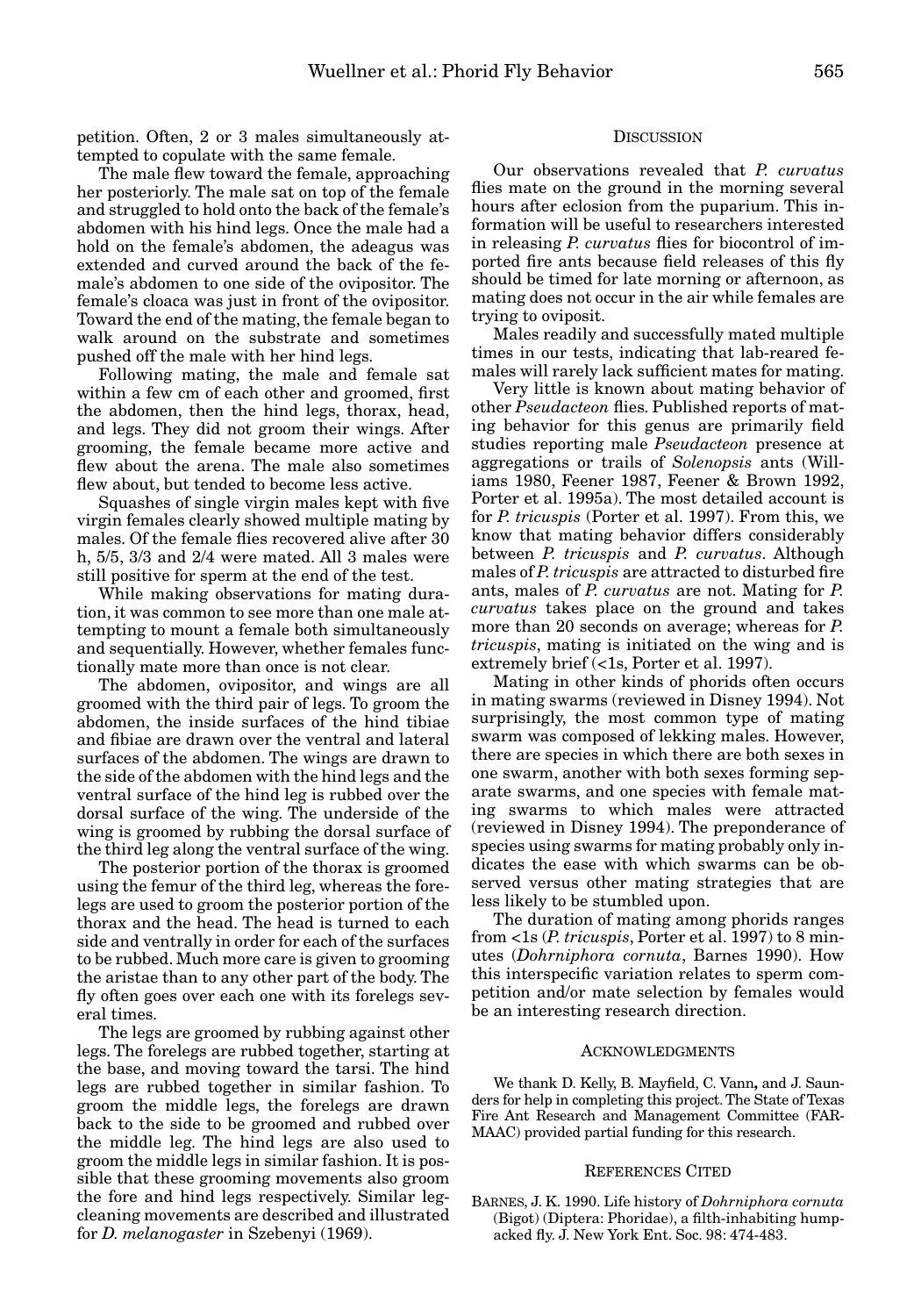petition. Often, 2 or 3 males simultaneously attempted to copulate with the same female.

The male flew toward the female, approaching her posteriorly. The male sat on top of the female and struggled to hold onto the back of the female's abdomen with his hind legs. Once the male had a hold on the female's abdomen, the adeagus was extended and curved around the back of the female's abdomen to one side of the ovipositor. The female's cloaca was just in front of the ovipositor. Toward the end of the mating, the female began to walk around on the substrate and sometimes pushed off the male with her hind legs.

Following mating, the male and female sat within a few cm of each other and groomed, first the abdomen, then the hind legs, thorax, head, and legs. They did not groom their wings. After grooming, the female became more active and flew about the arena. The male also sometimes flew about, but tended to become less active.

Squashes of single virgin males kept with five virgin females clearly showed multiple mating by males. Of the female flies recovered alive after 30 h, 5/5, 3/3 and 2/4 were mated. All 3 males were still positive for sperm at the end of the test.

While making observations for mating duration, it was common to see more than one male attempting to mount a female both simultaneously and sequentially. However, whether females functionally mate more than once is not clear.

The abdomen, ovipositor, and wings are all groomed with the third pair of legs. To groom the abdomen, the inside surfaces of the hind tibiae and fibiae are drawn over the ventral and lateral surfaces of the abdomen. The wings are drawn to the side of the abdomen with the hind legs and the ventral surface of the hind leg is rubbed over the dorsal surface of the wing. The underside of the wing is groomed by rubbing the dorsal surface of the third leg along the ventral surface of the wing.

The posterior portion of the thorax is groomed using the femur of the third leg, whereas the forelegs are used to groom the posterior portion of the thorax and the head. The head is turned to each side and ventrally in order for each of the surfaces to be rubbed. Much more care is given to grooming the aristae than to any other part of the body. The fly often goes over each one with its forelegs several times.

The legs are groomed by rubbing against other legs. The forelegs are rubbed together, starting at the base, and moving toward the tarsi. The hind legs are rubbed together in similar fashion. To groom the middle legs, the forelegs are drawn back to the side to be groomed and rubbed over the middle leg. The hind legs are also used to groom the middle legs in similar fashion. It is possible that these grooming movements also groom the fore and hind legs respectively. Similar legcleaning movements are described and illustrated for *D. melanogaster* in Szebenyi (1969).

## **DISCUSSION**

Our observations revealed that *P. curvatus* flies mate on the ground in the morning several hours after eclosion from the puparium. This information will be useful to researchers interested in releasing *P. curvatus* flies for biocontrol of imported fire ants because field releases of this fly should be timed for late morning or afternoon, as mating does not occur in the air while females are trying to oviposit.

Males readily and successfully mated multiple times in our tests, indicating that lab-reared females will rarely lack sufficient mates for mating.

Very little is known about mating behavior of other *Pseudacteon* flies. Published reports of mating behavior for this genus are primarily field studies reporting male *Pseudacteon* presence at aggregations or trails of *Solenopsis* ants (Williams 1980, Feener 1987, Feener & Brown 1992, Porter et al. 1995a). The most detailed account is for *P. tricuspis* (Porter et al. 1997). From this, we know that mating behavior differs considerably between *P. tricuspis* and *P. curvatus*. Although males of *P. tricuspis* are attracted to disturbed fire ants, males of *P. curvatus* are not. Mating for *P. curvatus* takes place on the ground and takes more than 20 seconds on average; whereas for *P. tricuspis*, mating is initiated on the wing and is extremely brief (<1s, Porter et al. 1997).

Mating in other kinds of phorids often occurs in mating swarms (reviewed in Disney 1994). Not surprisingly, the most common type of mating swarm was composed of lekking males. However, there are species in which there are both sexes in one swarm, another with both sexes forming separate swarms, and one species with female mating swarms to which males were attracted (reviewed in Disney 1994). The preponderance of species using swarms for mating probably only indicates the ease with which swarms can be observed versus other mating strategies that are less likely to be stumbled upon.

The duration of mating among phorids ranges from <1s (*P. tricuspis*, Porter et al. 1997) to 8 minutes (*Dohrniphora cornuta*, Barnes 1990). How this interspecific variation relates to sperm competition and/or mate selection by females would be an interesting research direction.

#### ACKNOWLEDGMENTS

We thank D. Kelly, B. Mayfield, C. Vann**,** and J. Saunders for help in completing this project. The State of Texas Fire Ant Research and Management Committee (FAR-MAAC) provided partial funding for this research.

#### REFERENCES CITED

BARNES, J. K. 1990. Life history of *Dohrniphora cornuta* (Bigot) (Diptera: Phoridae), a filth-inhabiting humpacked fly. J. New York Ent. Soc. 98: 474-483.